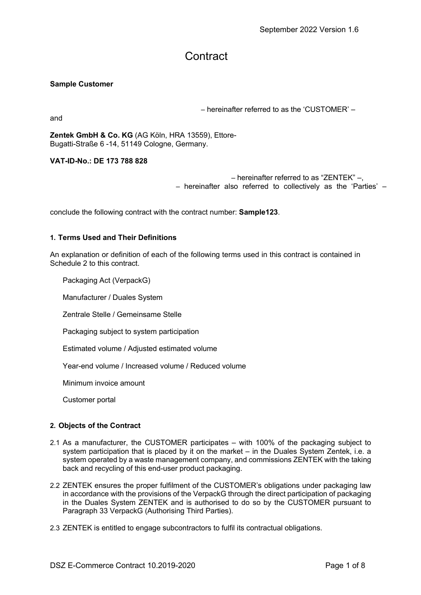# **Contract**

### Sample Customer

and

– hereinafter referred to as the 'CUSTOMER' –

Zentek GmbH & Co. KG (AG Köln, HRA 13559), Ettore-Bugatti-Straße 6 -14, 51149 Cologne, Germany.

VAT-ID-No.: DE 173 788 828

```
– hereinafter referred to as "ZENTEK" –, 
– hereinafter also referred to collectively as the 'Parties' –
```
conclude the following contract with the contract number: Sample123.

#### 1. Terms Used and Their Definitions

An explanation or definition of each of the following terms used in this contract is contained in Schedule 2 to this contract.

Packaging Act (VerpackG)

Manufacturer / Duales System

Zentrale Stelle / Gemeinsame Stelle

Packaging subject to system participation

Estimated volume / Adjusted estimated volume

Year-end volume / Increased volume / Reduced volume

Minimum invoice amount

Customer portal

#### 2. Objects of the Contract

- 2.1 As a manufacturer, the CUSTOMER participates with 100% of the packaging subject to system participation that is placed by it on the market – in the Duales System Zentek, i.e. a system operated by a waste management company, and commissions ZENTEK with the taking back and recycling of this end-user product packaging.
- 2.2 ZENTEK ensures the proper fulfilment of the CUSTOMER's obligations under packaging law in accordance with the provisions of the VerpackG through the direct participation of packaging in the Duales System ZENTEK and is authorised to do so by the CUSTOMER pursuant to Paragraph 33 VerpackG (Authorising Third Parties).
- 2.3 ZENTEK is entitled to engage subcontractors to fulfil its contractual obligations.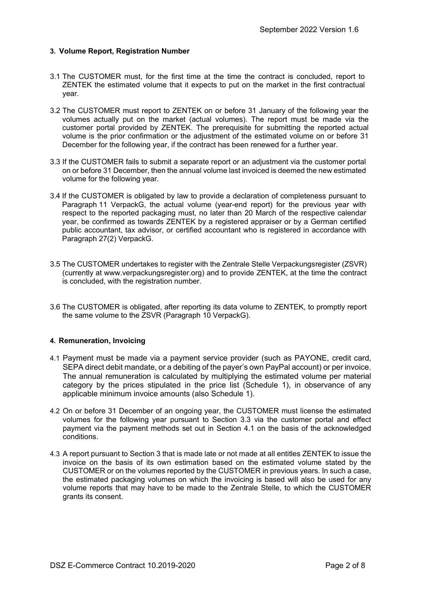#### 3. Volume Report, Registration Number

- 3.1 The CUSTOMER must, for the first time at the time the contract is concluded, report to ZENTEK the estimated volume that it expects to put on the market in the first contractual year.
- 3.2 The CUSTOMER must report to ZENTEK on or before 31 January of the following year the volumes actually put on the market (actual volumes). The report must be made via the customer portal provided by ZENTEK. The prerequisite for submitting the reported actual volume is the prior confirmation or the adjustment of the estimated volume on or before 31 December for the following year, if the contract has been renewed for a further year.
- 3.3 If the CUSTOMER fails to submit a separate report or an adjustment via the customer portal on or before 31 December, then the annual volume last invoiced is deemed the new estimated volume for the following year.
- 3.4 If the CUSTOMER is obligated by law to provide a declaration of completeness pursuant to Paragraph 11 VerpackG, the actual volume (year-end report) for the previous year with respect to the reported packaging must, no later than 20 March of the respective calendar year, be confirmed as towards ZENTEK by a registered appraiser or by a German certified public accountant, tax advisor, or certified accountant who is registered in accordance with Paragraph 27(2) VerpackG.
- 3.5 The CUSTOMER undertakes to register with the Zentrale Stelle Verpackungsregister (ZSVR) (currently at www.verpackungsregister.org) and to provide ZENTEK, at the time the contract is concluded, with the registration number.
- 3.6 The CUSTOMER is obligated, after reporting its data volume to ZENTEK, to promptly report the same volume to the ZSVR (Paragraph 10 VerpackG).

#### 4. Remuneration, Invoicing

- 4.1 Payment must be made via a payment service provider (such as PAYONE, credit card, SEPA direct debit mandate, or a debiting of the payer's own PayPal account) or per invoice. The annual remuneration is calculated by multiplying the estimated volume per material category by the prices stipulated in the price list (Schedule 1), in observance of any applicable minimum invoice amounts (also Schedule 1).
- 4.2 On or before 31 December of an ongoing year, the CUSTOMER must license the estimated volumes for the following year pursuant to Section 3.3 via the customer portal and effect payment via the payment methods set out in Section 4.1 on the basis of the acknowledged conditions.
- 4.3 A report pursuant to Section 3 that is made late or not made at all entitles ZENTEK to issue the invoice on the basis of its own estimation based on the estimated volume stated by the CUSTOMER or on the volumes reported by the CUSTOMER in previous years. In such a case, the estimated packaging volumes on which the invoicing is based will also be used for any volume reports that may have to be made to the Zentrale Stelle, to which the CUSTOMER grants its consent.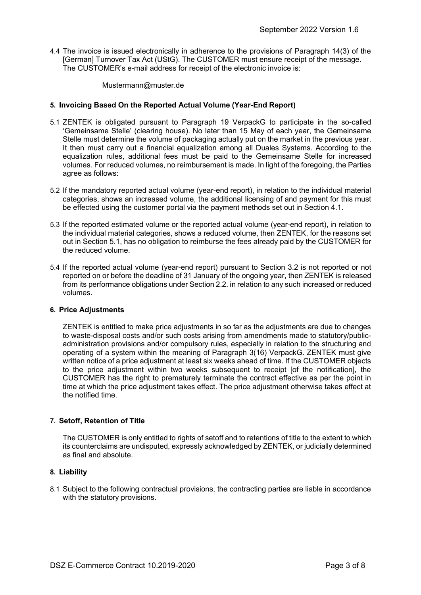4.4 The invoice is issued electronically in adherence to the provisions of Paragraph 14(3) of the [German] Turnover Tax Act (UStG). The CUSTOMER must ensure receipt of the message. The CUSTOMER's e-mail address for receipt of the electronic invoice is:

Mustermann@muster.de

#### 5. Invoicing Based On the Reported Actual Volume (Year-End Report)

- 5.1 ZENTEK is obligated pursuant to Paragraph 19 VerpackG to participate in the so-called 'Gemeinsame Stelle' (clearing house). No later than 15 May of each year, the Gemeinsame Stelle must determine the volume of packaging actually put on the market in the previous year. It then must carry out a financial equalization among all Duales Systems. According to the equalization rules, additional fees must be paid to the Gemeinsame Stelle for increased volumes. For reduced volumes, no reimbursement is made. In light of the foregoing, the Parties agree as follows:
- 5.2 If the mandatory reported actual volume (year-end report), in relation to the individual material categories, shows an increased volume, the additional licensing of and payment for this must be effected using the customer portal via the payment methods set out in Section 4.1.
- 5.3 If the reported estimated volume or the reported actual volume (year-end report), in relation to the individual material categories, shows a reduced volume, then ZENTEK, for the reasons set out in Section 5.1, has no obligation to reimburse the fees already paid by the CUSTOMER for the reduced volume.
- 5.4 If the reported actual volume (year-end report) pursuant to Section 3.2 is not reported or not reported on or before the deadline of 31 January of the ongoing year, then ZENTEK is released from its performance obligations under Section 2.2. in relation to any such increased or reduced volumes.

#### 6. Price Adjustments

ZENTEK is entitled to make price adjustments in so far as the adjustments are due to changes to waste-disposal costs and/or such costs arising from amendments made to statutory/publicadministration provisions and/or compulsory rules, especially in relation to the structuring and operating of a system within the meaning of Paragraph 3(16) VerpackG. ZENTEK must give written notice of a price adjustment at least six weeks ahead of time. If the CUSTOMER objects to the price adjustment within two weeks subsequent to receipt [of the notification], the CUSTOMER has the right to prematurely terminate the contract effective as per the point in time at which the price adjustment takes effect. The price adjustment otherwise takes effect at the notified time.

#### 7. Setoff, Retention of Title

The CUSTOMER is only entitled to rights of setoff and to retentions of title to the extent to which its counterclaims are undisputed, expressly acknowledged by ZENTEK, or judicially determined as final and absolute.

#### 8. Liability

8.1 Subject to the following contractual provisions, the contracting parties are liable in accordance with the statutory provisions.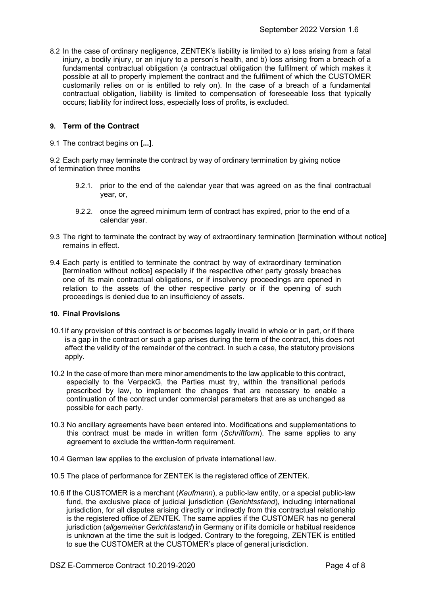8.2 In the case of ordinary negligence, ZENTEK's liability is limited to a) loss arising from a fatal injury, a bodily injury, or an injury to a person's health, and b) loss arising from a breach of a fundamental contractual obligation (a contractual obligation the fulfilment of which makes it possible at all to properly implement the contract and the fulfilment of which the CUSTOMER customarily relies on or is entitled to rely on). In the case of a breach of a fundamental contractual obligation, liability is limited to compensation of foreseeable loss that typically occurs; liability for indirect loss, especially loss of profits, is excluded.

# 9. Term of the Contract

9.1 The contract begins on [...].

9.2 Each party may terminate the contract by way of ordinary termination by giving notice of termination three months

- 9.2.1. prior to the end of the calendar year that was agreed on as the final contractual year, or,
- 9.2.2. once the agreed minimum term of contract has expired, prior to the end of a calendar year.
- 9.3 The right to terminate the contract by way of extraordinary termination [termination without notice] remains in effect.
- 9.4 Each party is entitled to terminate the contract by way of extraordinary termination [termination without notice] especially if the respective other party grossly breaches one of its main contractual obligations, or if insolvency proceedings are opened in relation to the assets of the other respective party or if the opening of such proceedings is denied due to an insufficiency of assets.

#### 10. Final Provisions

- 10.1 If any provision of this contract is or becomes legally invalid in whole or in part, or if there is a gap in the contract or such a gap arises during the term of the contract, this does not affect the validity of the remainder of the contract. In such a case, the statutory provisions apply.
- 10.2 In the case of more than mere minor amendments to the law applicable to this contract, especially to the VerpackG, the Parties must try, within the transitional periods prescribed by law, to implement the changes that are necessary to enable a continuation of the contract under commercial parameters that are as unchanged as possible for each party.
- 10.3 No ancillary agreements have been entered into. Modifications and supplementations to this contract must be made in written form (Schriftform). The same applies to any agreement to exclude the written-form requirement.
- 10.4 German law applies to the exclusion of private international law.
- 10.5 The place of performance for ZENTEK is the registered office of ZENTEK.
- 10.6 If the CUSTOMER is a merchant (Kaufmann), a public-law entity, or a special public-law fund, the exclusive place of judicial jurisdiction (Gerichtsstand), including international jurisdiction, for all disputes arising directly or indirectly from this contractual relationship is the registered office of ZENTEK. The same applies if the CUSTOMER has no general jurisdiction (allgemeiner Gerichtsstand) in Germany or if its domicile or habitual residence is unknown at the time the suit is lodged. Contrary to the foregoing, ZENTEK is entitled to sue the CUSTOMER at the CUSTOMER's place of general jurisdiction.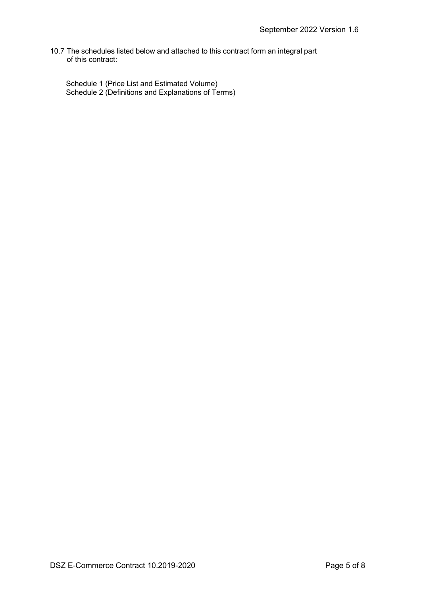10.7 The schedules listed below and attached to this contract form an integral part of this contract:

Schedule 1 (Price List and Estimated Volume) Schedule 2 (Definitions and Explanations of Terms)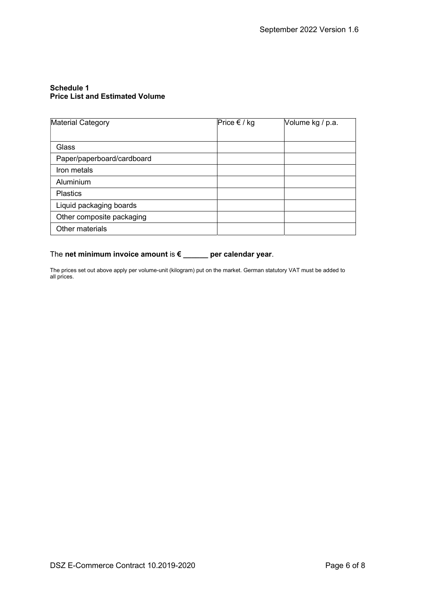# Schedule 1 Price List and Estimated Volume

| Material Category          | Price € / kg | Volume kg / p.a. |
|----------------------------|--------------|------------------|
|                            |              |                  |
| Glass                      |              |                  |
| Paper/paperboard/cardboard |              |                  |
| Iron metals                |              |                  |
| Aluminium                  |              |                  |
| <b>Plastics</b>            |              |                  |
| Liquid packaging boards    |              |                  |
| Other composite packaging  |              |                  |
| Other materials            |              |                  |

# The net minimum invoice amount is € \_\_\_\_\_ per calendar year.

The prices set out above apply per volume-unit (kilogram) put on the market. German statutory VAT must be added to all prices.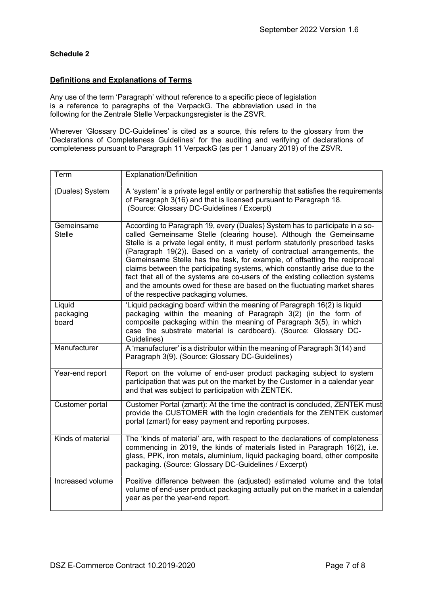# Schedule 2

# Definitions and Explanations of Terms

Any use of the term 'Paragraph' without reference to a specific piece of legislation is a reference to paragraphs of the VerpackG. The abbreviation used in the following for the Zentrale Stelle Verpackungsregister is the ZSVR.

Wherever 'Glossary DC-Guidelines' is cited as a source, this refers to the glossary from the 'Declarations of Completeness Guidelines' for the auditing and verifying of declarations of completeness pursuant to Paragraph 11 VerpackG (as per 1 January 2019) of the ZSVR.

| Term                         | <b>Explanation/Definition</b>                                                                                                                                                                                                                                                                                                                                                                                                                                                                                                                                                                                                                                                   |
|------------------------------|---------------------------------------------------------------------------------------------------------------------------------------------------------------------------------------------------------------------------------------------------------------------------------------------------------------------------------------------------------------------------------------------------------------------------------------------------------------------------------------------------------------------------------------------------------------------------------------------------------------------------------------------------------------------------------|
| (Duales) System              | A 'system' is a private legal entity or partnership that satisfies the requirements<br>of Paragraph 3(16) and that is licensed pursuant to Paragraph 18.<br>(Source: Glossary DC-Guidelines / Excerpt)                                                                                                                                                                                                                                                                                                                                                                                                                                                                          |
| Gemeinsame<br><b>Stelle</b>  | According to Paragraph 19, every (Duales) System has to participate in a so-<br>called Gemeinsame Stelle (clearing house). Although the Gemeinsame<br>Stelle is a private legal entity, it must perform statutorily prescribed tasks<br>(Paragraph 19(2)). Based on a variety of contractual arrangements, the<br>Gemeinsame Stelle has the task, for example, of offsetting the reciprocal<br>claims between the participating systems, which constantly arise due to the<br>fact that all of the systems are co-users of the existing collection systems<br>and the amounts owed for these are based on the fluctuating market shares<br>of the respective packaging volumes. |
| Liquid<br>packaging<br>board | 'Liquid packaging board' within the meaning of Paragraph 16(2) is liquid<br>packaging within the meaning of Paragraph 3(2) (in the form of<br>composite packaging within the meaning of Paragraph 3(5), in which<br>case the substrate material is cardboard). (Source: Glossary DC-<br>Guidelines)                                                                                                                                                                                                                                                                                                                                                                             |
| Manufacturer                 | A 'manufacturer' is a distributor within the meaning of Paragraph 3(14) and<br>Paragraph 3(9). (Source: Glossary DC-Guidelines)                                                                                                                                                                                                                                                                                                                                                                                                                                                                                                                                                 |
| Year-end report              | Report on the volume of end-user product packaging subject to system<br>participation that was put on the market by the Customer in a calendar year<br>and that was subject to participation with ZENTEK.                                                                                                                                                                                                                                                                                                                                                                                                                                                                       |
| Customer portal              | Customer Portal (zmart): At the time the contract is concluded, ZENTEK must<br>provide the CUSTOMER with the login credentials for the ZENTEK customer<br>portal (zmart) for easy payment and reporting purposes.                                                                                                                                                                                                                                                                                                                                                                                                                                                               |
| Kinds of material            | The 'kinds of material' are, with respect to the declarations of completeness<br>commencing in 2019, the kinds of materials listed in Paragraph 16(2), i.e.<br>glass, PPK, iron metals, aluminium, liquid packaging board, other composite<br>packaging. (Source: Glossary DC-Guidelines / Excerpt)                                                                                                                                                                                                                                                                                                                                                                             |
| Increased volume             | Positive difference between the (adjusted) estimated volume and the total<br>volume of end-user product packaging actually put on the market in a calendar<br>year as per the year-end report.                                                                                                                                                                                                                                                                                                                                                                                                                                                                                  |